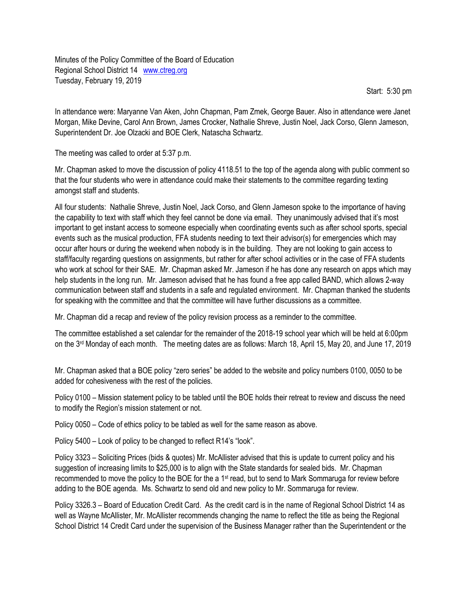Minutes of the Policy Committee of the Board of Education Regional School District 14 [www.ctreg.org](http://www.ctreg.org/) Tuesday, February 19, 2019

Start: 5:30 pm

In attendance were: Maryanne Van Aken, John Chapman, Pam Zmek, George Bauer. Also in attendance were Janet Morgan, Mike Devine, Carol Ann Brown, James Crocker, Nathalie Shreve, Justin Noel, Jack Corso, Glenn Jameson, Superintendent Dr. Joe Olzacki and BOE Clerk, Natascha Schwartz.

The meeting was called to order at 5:37 p.m.

Mr. Chapman asked to move the discussion of policy 4118.51 to the top of the agenda along with public comment so that the four students who were in attendance could make their statements to the committee regarding texting amongst staff and students.

All four students: Nathalie Shreve, Justin Noel, Jack Corso, and Glenn Jameson spoke to the importance of having the capability to text with staff which they feel cannot be done via email. They unanimously advised that it's most important to get instant access to someone especially when coordinating events such as after school sports, special events such as the musical production, FFA students needing to text their advisor(s) for emergencies which may occur after hours or during the weekend when nobody is in the building. They are not looking to gain access to staff/faculty regarding questions on assignments, but rather for after school activities or in the case of FFA students who work at school for their SAE. Mr. Chapman asked Mr. Jameson if he has done any research on apps which may help students in the long run. Mr. Jameson advised that he has found a free app called BAND, which allows 2-way communication between staff and students in a safe and regulated environment. Mr. Chapman thanked the students for speaking with the committee and that the committee will have further discussions as a committee.

Mr. Chapman did a recap and review of the policy revision process as a reminder to the committee.

The committee established a set calendar for the remainder of the 2018-19 school year which will be held at 6:00pm on the 3rd Monday of each month. The meeting dates are as follows: March 18, April 15, May 20, and June 17, 2019

Mr. Chapman asked that a BOE policy "zero series" be added to the website and policy numbers 0100, 0050 to be added for cohesiveness with the rest of the policies.

Policy 0100 – Mission statement policy to be tabled until the BOE holds their retreat to review and discuss the need to modify the Region's mission statement or not.

Policy 0050 – Code of ethics policy to be tabled as well for the same reason as above.

Policy 5400 – Look of policy to be changed to reflect R14's "look".

Policy 3323 – Soliciting Prices (bids & quotes) Mr. McAllister advised that this is update to current policy and his suggestion of increasing limits to \$25,000 is to align with the State standards for sealed bids. Mr. Chapman recommended to move the policy to the BOE for the a 1st read, but to send to Mark Sommaruga for review before adding to the BOE agenda. Ms. Schwartz to send old and new policy to Mr. Sommaruga for review.

Policy 3326.3 – Board of Education Credit Card. As the credit card is in the name of Regional School District 14 as well as Wayne McAllister, Mr. McAllister recommends changing the name to reflect the title as being the Regional School District 14 Credit Card under the supervision of the Business Manager rather than the Superintendent or the